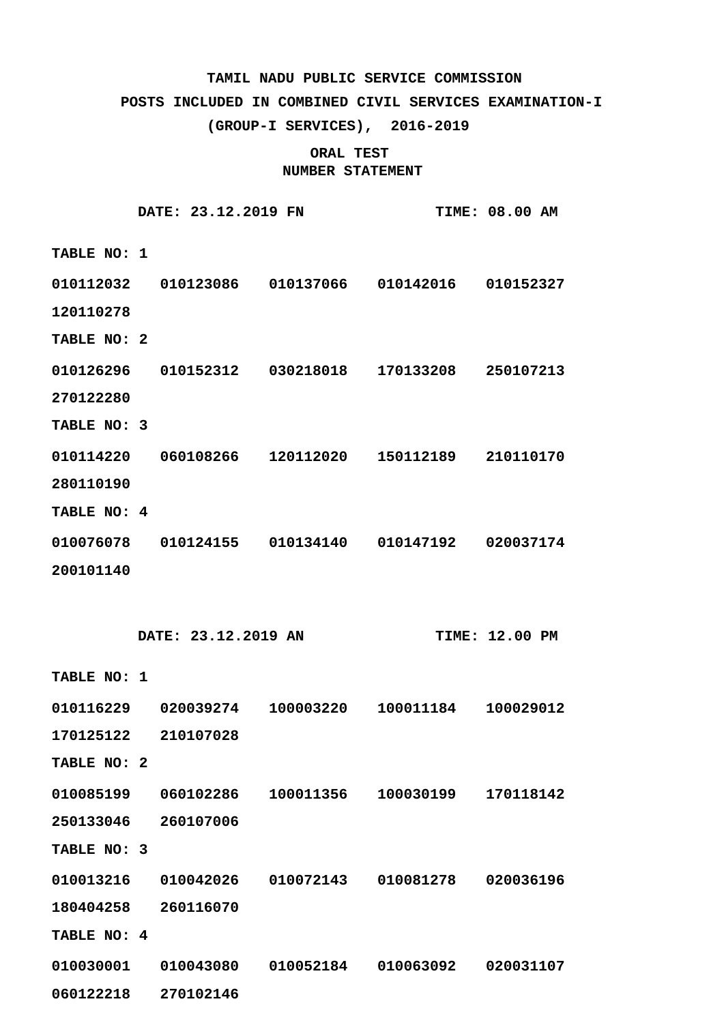## **POSTS INCLUDED IN COMBINED CIVIL SERVICES EXAMINATION-I**

**(GROUP-I SERVICES), 2016-2019**

|             | DATE: 23.12.2019 FN |           |                     | <b>TIME: 08.00 AM</b> |
|-------------|---------------------|-----------|---------------------|-----------------------|
| TABLE NO: 1 |                     |           |                     |                       |
| 010112032   | 010123086           | 010137066 | 010142016           | 010152327             |
| 120110278   |                     |           |                     |                       |
| TABLE NO: 2 |                     |           |                     |                       |
| 010126296   | 010152312           | 030218018 | 170133208           | 250107213             |
| 270122280   |                     |           |                     |                       |
| TABLE NO: 3 |                     |           |                     |                       |
| 010114220   | 060108266           | 120112020 | 150112189 210110170 |                       |
| 280110190   |                     |           |                     |                       |
| TABLE NO: 4 |                     |           |                     |                       |
| 010076078   | 010124155           | 010134140 | 010147192           | 020037174             |
| 200101140   |                     |           |                     |                       |

|             | DATE: 23.12.2019 AN |           |           | <b>TIME: 12.00 PM</b> |
|-------------|---------------------|-----------|-----------|-----------------------|
| TABLE NO: 1 |                     |           |           |                       |
| 010116229   | 020039274           | 100003220 | 100011184 | 100029012             |
| 170125122   | 210107028           |           |           |                       |
| TABLE NO: 2 |                     |           |           |                       |
| 010085199   | 060102286           | 100011356 | 100030199 | 170118142             |
| 250133046   | 260107006           |           |           |                       |
| TABLE NO: 3 |                     |           |           |                       |
| 010013216   | 010042026           | 010072143 | 010081278 | 020036196             |
| 180404258   | 260116070           |           |           |                       |
| TABLE NO: 4 |                     |           |           |                       |
| 010030001   | 010043080           | 010052184 | 010063092 | 020031107             |
| 060122218   | 270102146           |           |           |                       |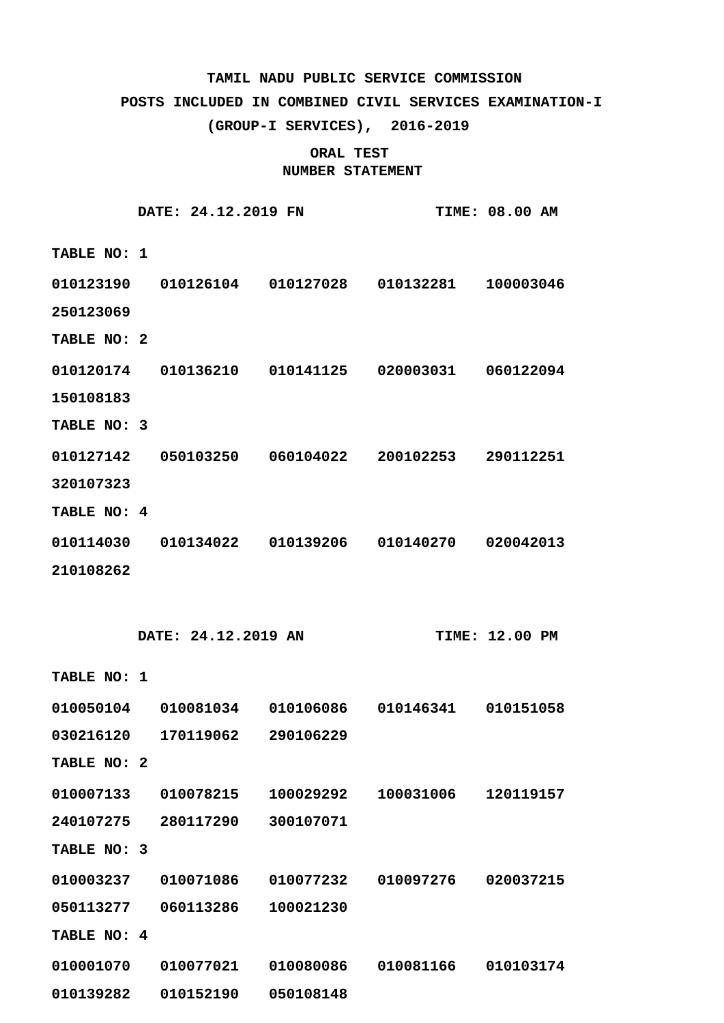### **POSTS INCLUDED IN COMBINED CIVIL SERVICES EXAMINATION-I**

**(GROUP-I SERVICES), 2016-2019**

|             |                         | DATE: 24.12.2019 FN |                                                       |           | <b>TIME: 08.00 AM</b> |
|-------------|-------------------------|---------------------|-------------------------------------------------------|-----------|-----------------------|
| TABLE NO: 1 |                         |                     |                                                       |           |                       |
| 010123190   |                         |                     |                                                       |           |                       |
| 250123069   |                         |                     |                                                       |           |                       |
| TABLE NO: 2 |                         |                     |                                                       |           |                       |
| 010120174   |                         |                     | $010136210$ $010141125$ $020003031$ $060122094$       |           |                       |
| 150108183   |                         |                     |                                                       |           |                       |
| TABLE NO: 3 |                         |                     |                                                       |           |                       |
|             |                         |                     | 010127142  050103250  060104022  200102253  290112251 |           |                       |
| 320107323   |                         |                     |                                                       |           |                       |
| TABLE NO: 4 |                         |                     |                                                       |           |                       |
|             |                         |                     | 010114030  010134022  010139206  010140270  020042013 |           |                       |
| 210108262   |                         |                     |                                                       |           |                       |
|             |                         |                     |                                                       |           |                       |
|             |                         |                     |                                                       |           |                       |
|             |                         | DATE: 24.12.2019 AN |                                                       |           | <b>TIME: 12.00 PM</b> |
| TABLE NO: 1 |                         |                     |                                                       |           |                       |
| 010050104   |                         | 010081034 010106086 |                                                       |           |                       |
| 030216120   |                         | 170119062           | 290106229                                             |           |                       |
| TABLE NO: 2 |                         |                     |                                                       |           |                       |
| 010007133   |                         | 010078215           | 100029292                                             | 100031006 | 120119157             |
| 240107275   |                         | 280117290           | 300107071                                             |           |                       |
| TABLE NO:   | $\overline{\mathbf{3}}$ |                     |                                                       |           |                       |
| 010003237   |                         | 010071086           | 010077232                                             | 010097276 | 020037215             |
| 050113277   |                         | 060113286           | 100021230                                             |           |                       |
| TABLE NO: 4 |                         |                     |                                                       |           |                       |
| 010001070   |                         | 010077021           | 010080086                                             | 010081166 | 010103174             |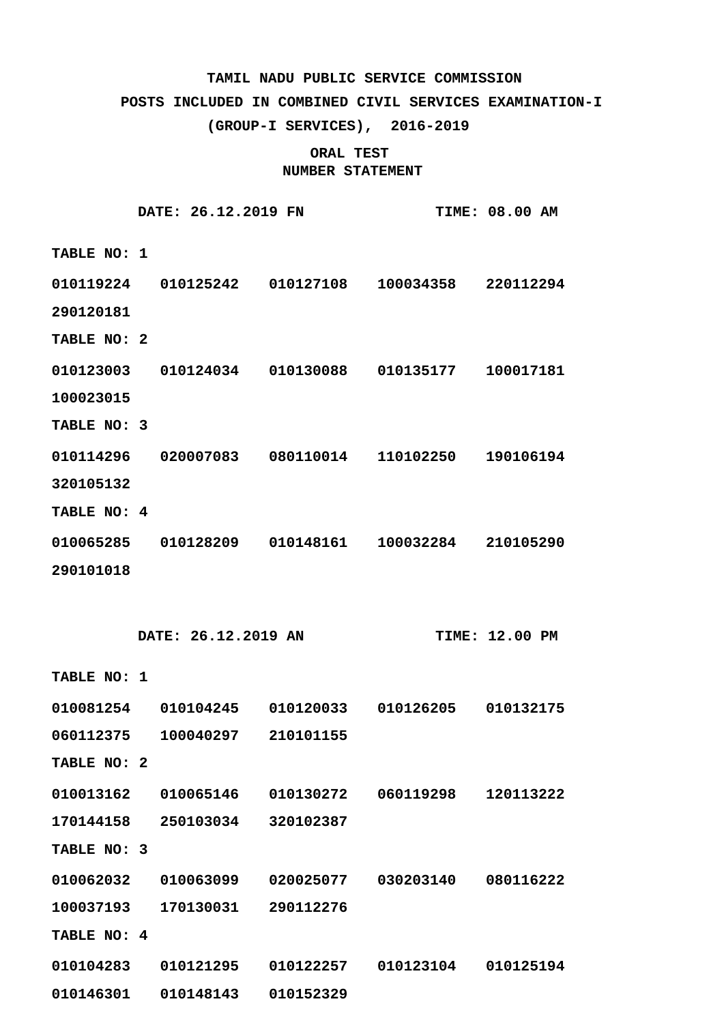### **POSTS INCLUDED IN COMBINED CIVIL SERVICES EXAMINATION-I**

**(GROUP-I SERVICES), 2016-2019**

|             | DATE: 26.12.2019 FN |                                                       |           | <b>TIME: 08.00 AM</b> |
|-------------|---------------------|-------------------------------------------------------|-----------|-----------------------|
| TABLE NO: 1 |                     |                                                       |           |                       |
| 010119224   |                     | 010125242   010127108   100034358   220112294         |           |                       |
| 290120181   |                     |                                                       |           |                       |
| TABLE NO: 2 |                     |                                                       |           |                       |
| 010123003   |                     | 010124034 010130088 010135177                         |           | 100017181             |
| 100023015   |                     |                                                       |           |                       |
| TABLE NO: 3 |                     |                                                       |           |                       |
|             |                     | 010114296  020007083  080110014  110102250  190106194 |           |                       |
| 320105132   |                     |                                                       |           |                       |
| TABLE NO: 4 |                     |                                                       |           |                       |
|             |                     | 010065285  010128209  010148161  100032284  210105290 |           |                       |
| 290101018   |                     |                                                       |           |                       |
|             |                     |                                                       |           |                       |
|             |                     |                                                       |           |                       |
|             | DATE: 26.12.2019 AN |                                                       |           | <b>TIME: 12.00 PM</b> |
| TABLE NO: 1 |                     |                                                       |           |                       |
| 010081254   |                     | 010104245  010120033  010126205                       |           | 010132175             |
| 060112375   | 100040297           | 210101155                                             |           |                       |
| TABLE NO: 2 |                     |                                                       |           |                       |
| 010013162   | 010065146           | 010130272                                             | 060119298 | 120113222             |
| 170144158   | 250103034           | 320102387                                             |           |                       |
| TABLE NO: 3 |                     |                                                       |           |                       |
| 010062032   | 010063099           | 020025077                                             | 030203140 | 080116222             |
| 100037193   | 170130031           | 290112276                                             |           |                       |
| TABLE NO: 4 |                     |                                                       |           |                       |
| 010104283   | 010121295           | 010122257                                             | 010123104 | 010125194             |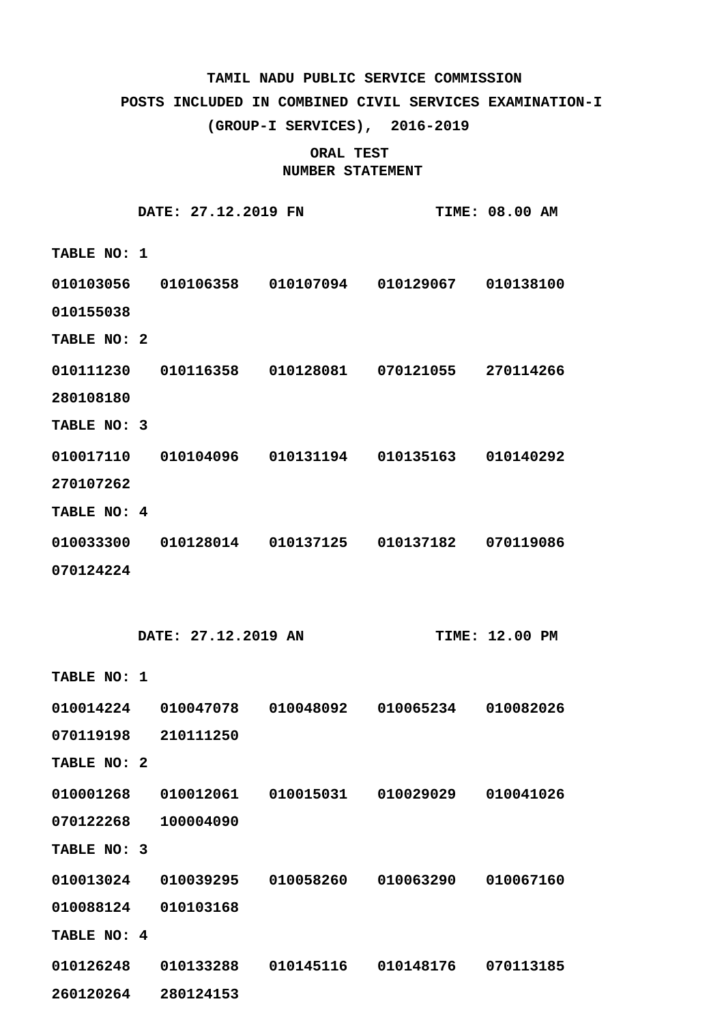### **POSTS INCLUDED IN COMBINED CIVIL SERVICES EXAMINATION-I**

**(GROUP-I SERVICES), 2016-2019**

|             | DATE: 27.12.2019 FN |           |                     | <b>TIME: 08.00 AM</b> |
|-------------|---------------------|-----------|---------------------|-----------------------|
| TABLE NO: 1 |                     |           |                     |                       |
| 010103056   | 010106358           | 010107094 | 010129067           | 010138100             |
| 010155038   |                     |           |                     |                       |
| TABLE NO: 2 |                     |           |                     |                       |
| 010111230   | 010116358           | 010128081 | 070121055 270114266 |                       |
| 280108180   |                     |           |                     |                       |
| TABLE NO: 3 |                     |           |                     |                       |
| 010017110   | 010104096           | 010131194 | 010135163           | 010140292             |
| 270107262   |                     |           |                     |                       |
| TABLE NO: 4 |                     |           |                     |                       |
| 010033300   | 010128014           | 010137125 | 010137182           | 070119086             |
| 070124224   |                     |           |                     |                       |

|                    | DATE: 27.12.2019 AN |                     |  | <b>TIME: 12.00 PM</b> |           |
|--------------------|---------------------|---------------------|--|-----------------------|-----------|
| <b>TABLE NO: 1</b> |                     |                     |  |                       |           |
|                    |                     |                     |  |                       |           |
|                    |                     | 070119198 210111250 |  |                       |           |
| TABLE NO: 2        |                     |                     |  |                       |           |
|                    |                     |                     |  |                       |           |
|                    |                     | 070122268 100004090 |  |                       |           |
| TABLE NO: 3        |                     |                     |  |                       |           |
|                    |                     |                     |  |                       |           |
|                    |                     | 010088124 010103168 |  |                       |           |
| <b>TABLE NO: 4</b> |                     |                     |  |                       |           |
|                    |                     |                     |  | 010148176             | 070113185 |
| 260120264          |                     | 280124153           |  |                       |           |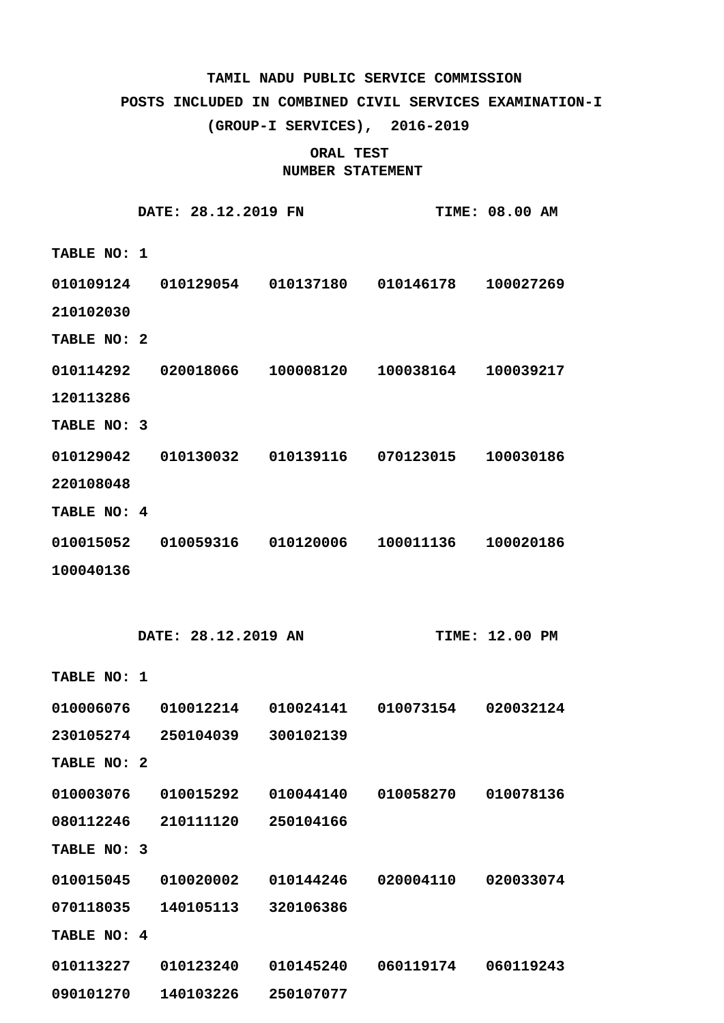### **POSTS INCLUDED IN COMBINED CIVIL SERVICES EXAMINATION-I**

**(GROUP-I SERVICES), 2016-2019**

|             | DATE: 28.12.2019 FN |                                                       |           | <b>TIME: 08.00 AM</b> |
|-------------|---------------------|-------------------------------------------------------|-----------|-----------------------|
| TABLE NO: 1 |                     |                                                       |           |                       |
| 010109124   |                     |                                                       |           |                       |
| 210102030   |                     |                                                       |           |                       |
| TABLE NO: 2 |                     |                                                       |           |                       |
| 010114292   |                     | 020018066 100008120 100038164 100039217               |           |                       |
| 120113286   |                     |                                                       |           |                       |
| TABLE NO: 3 |                     |                                                       |           |                       |
| 010129042   |                     |                                                       |           |                       |
| 220108048   |                     |                                                       |           |                       |
| TABLE NO: 4 |                     |                                                       |           |                       |
|             |                     | 010015052  010059316  010120006  100011136  100020186 |           |                       |
| 100040136   |                     |                                                       |           |                       |
|             |                     |                                                       |           |                       |
|             |                     |                                                       |           |                       |
|             | DATE: 28.12.2019 AN |                                                       |           | <b>TIME: 12.00 PM</b> |
| TABLE NO: 1 |                     |                                                       |           |                       |
|             |                     | 010006076  010012214  010024141  010073154  020032124 |           |                       |
| 230105274   | 250104039           | 300102139                                             |           |                       |
| TABLE NO: 2 |                     |                                                       |           |                       |
| 010003076   | 010015292           | 010044140                                             | 010058270 | 010078136             |
| 080112246   | 210111120           | 250104166                                             |           |                       |
| TABLE NO: 3 |                     |                                                       |           |                       |
| 010015045   | 010020002           | 010144246                                             | 020004110 | 020033074             |
| 070118035   | 140105113           | 320106386                                             |           |                       |
| TABLE NO: 4 |                     |                                                       |           |                       |
| 010113227   | 010123240           | 010145240                                             | 060119174 | 060119243             |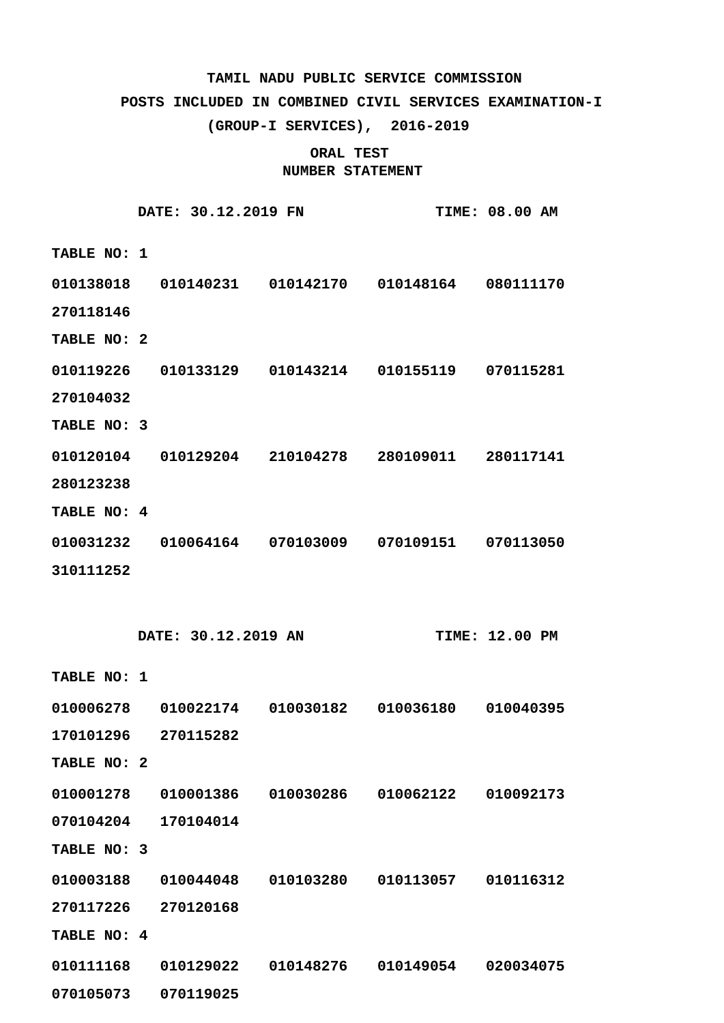### **POSTS INCLUDED IN COMBINED CIVIL SERVICES EXAMINATION-I**

**(GROUP-I SERVICES), 2016-2019**

|             | DATE: 30.12.2019 FN |                                                       |           | <b>TIME: 08.00 AM</b> |
|-------------|---------------------|-------------------------------------------------------|-----------|-----------------------|
| TABLE NO: 1 |                     |                                                       |           |                       |
|             |                     | 010138018  010140231  010142170  010148164  080111170 |           |                       |
| 270118146   |                     |                                                       |           |                       |
| TABLE NO: 2 |                     |                                                       |           |                       |
| 010119226   |                     | 010133129   010143214   010155119   070115281         |           |                       |
| 270104032   |                     |                                                       |           |                       |
| TABLE NO: 3 |                     |                                                       |           |                       |
|             |                     | 010120104  010129204  210104278  280109011  280117141 |           |                       |
| 280123238   |                     |                                                       |           |                       |
| TABLE NO: 4 |                     |                                                       |           |                       |
|             |                     | 010031232  010064164  070103009  070109151  070113050 |           |                       |
| 310111252   |                     |                                                       |           |                       |
|             |                     |                                                       |           |                       |
|             |                     |                                                       |           |                       |
|             | DATE: 30.12.2019 AN |                                                       |           | <b>TIME: 12.00 PM</b> |
| TABLE NO: 1 |                     |                                                       |           |                       |
| 010006278   |                     | 010022174  010030182  010036180  010040395            |           |                       |
| 170101296   | 270115282           |                                                       |           |                       |
| TABLE NO: 2 |                     |                                                       |           |                       |
| 010001278   | 010001386           | 010030286                                             | 010062122 | 010092173             |
| 070104204   | 170104014           |                                                       |           |                       |
| TABLE NO: 3 |                     |                                                       |           |                       |
| 010003188   | 010044048           | 010103280                                             | 010113057 | 010116312             |
| 270117226   | 270120168           |                                                       |           |                       |
| TABLE NO: 4 |                     |                                                       |           |                       |
| 010111168   | 010129022           | 010148276                                             | 010149054 | 020034075             |